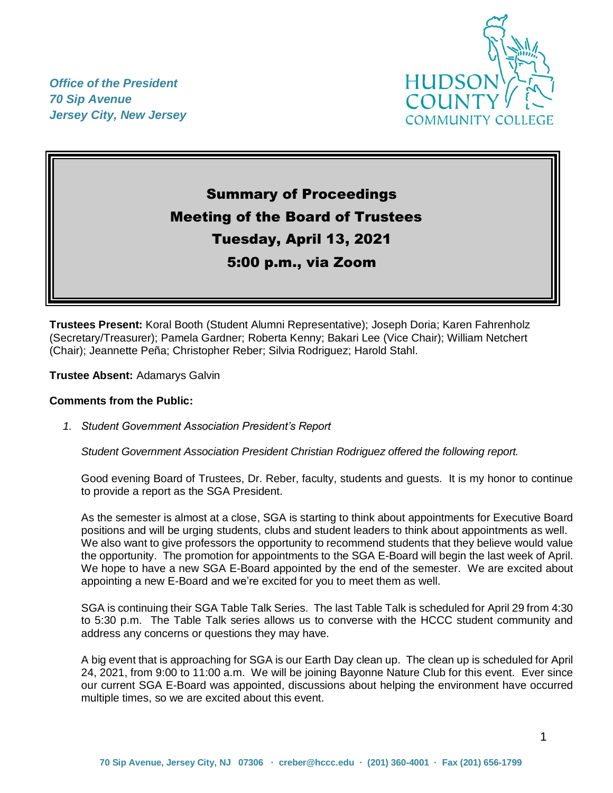*Office of the President 70 Sip Avenue Jersey City, New Jersey*



# Summary of Proceedings Meeting of the Board of Trustees Tuesday, April 13, 2021 5:00 p.m., via Zoom

**Trustees Present:** Koral Booth (Student Alumni Representative); Joseph Doria; Karen Fahrenholz (Secretary/Treasurer); Pamela Gardner; Roberta Kenny; Bakari Lee (Vice Chair); William Netchert (Chair); Jeannette Peña; Christopher Reber; Silvia Rodriguez; Harold Stahl.

**Trustee Absent:** Adamarys Galvin

#### **Comments from the Public:**

*1. Student Government Association President's Report* 

*Student Government Association President Christian Rodriguez offered the following report.*

Good evening Board of Trustees, Dr. Reber, faculty, students and guests. It is my honor to continue to provide a report as the SGA President.

As the semester is almost at a close, SGA is starting to think about appointments for Executive Board positions and will be urging students, clubs and student leaders to think about appointments as well. We also want to give professors the opportunity to recommend students that they believe would value the opportunity. The promotion for appointments to the SGA E-Board will begin the last week of April. We hope to have a new SGA E-Board appointed by the end of the semester. We are excited about appointing a new E-Board and we're excited for you to meet them as well.

SGA is continuing their SGA Table Talk Series. The last Table Talk is scheduled for April 29 from 4:30 to 5:30 p.m. The Table Talk series allows us to converse with the HCCC student community and address any concerns or questions they may have.

A big event that is approaching for SGA is our Earth Day clean up. The clean up is scheduled for April 24, 2021, from 9:00 to 11:00 a.m. We will be joining Bayonne Nature Club for this event. Ever since our current SGA E-Board was appointed, discussions about helping the environment have occurred multiple times, so we are excited about this event.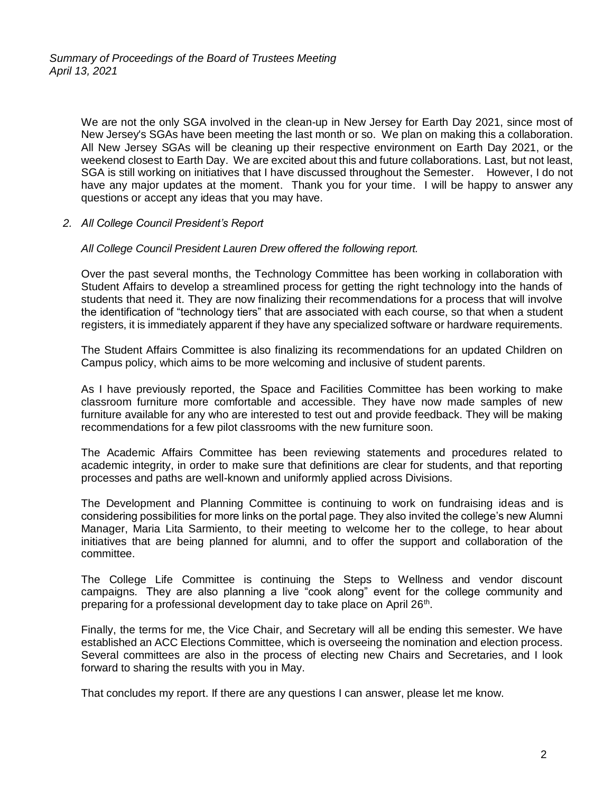We are not the only SGA involved in the clean-up in New Jersey for Earth Day 2021, since most of New Jersey's SGAs have been meeting the last month or so. We plan on making this a collaboration. All New Jersey SGAs will be cleaning up their respective environment on Earth Day 2021, or the weekend closest to Earth Day. We are excited about this and future collaborations. Last, but not least, SGA is still working on initiatives that I have discussed throughout the Semester. However, I do not have any major updates at the moment. Thank you for your time. I will be happy to answer any questions or accept any ideas that you may have.

#### *2. All College Council President's Report*

#### *All College Council President Lauren Drew offered the following report.*

Over the past several months, the Technology Committee has been working in collaboration with Student Affairs to develop a streamlined process for getting the right technology into the hands of students that need it. They are now finalizing their recommendations for a process that will involve the identification of "technology tiers" that are associated with each course, so that when a student registers, it is immediately apparent if they have any specialized software or hardware requirements.

The Student Affairs Committee is also finalizing its recommendations for an updated Children on Campus policy, which aims to be more welcoming and inclusive of student parents.

As I have previously reported, the Space and Facilities Committee has been working to make classroom furniture more comfortable and accessible. They have now made samples of new furniture available for any who are interested to test out and provide feedback. They will be making recommendations for a few pilot classrooms with the new furniture soon.

The Academic Affairs Committee has been reviewing statements and procedures related to academic integrity, in order to make sure that definitions are clear for students, and that reporting processes and paths are well-known and uniformly applied across Divisions.

The Development and Planning Committee is continuing to work on fundraising ideas and is considering possibilities for more links on the portal page. They also invited the college's new Alumni Manager, Maria Lita Sarmiento, to their meeting to welcome her to the college, to hear about initiatives that are being planned for alumni, and to offer the support and collaboration of the committee.

The College Life Committee is continuing the Steps to Wellness and vendor discount campaigns. They are also planning a live "cook along" event for the college community and preparing for a professional development day to take place on April 26<sup>th</sup>.

Finally, the terms for me, the Vice Chair, and Secretary will all be ending this semester. We have established an ACC Elections Committee, which is overseeing the nomination and election process. Several committees are also in the process of electing new Chairs and Secretaries, and I look forward to sharing the results with you in May.

That concludes my report. If there are any questions I can answer, please let me know.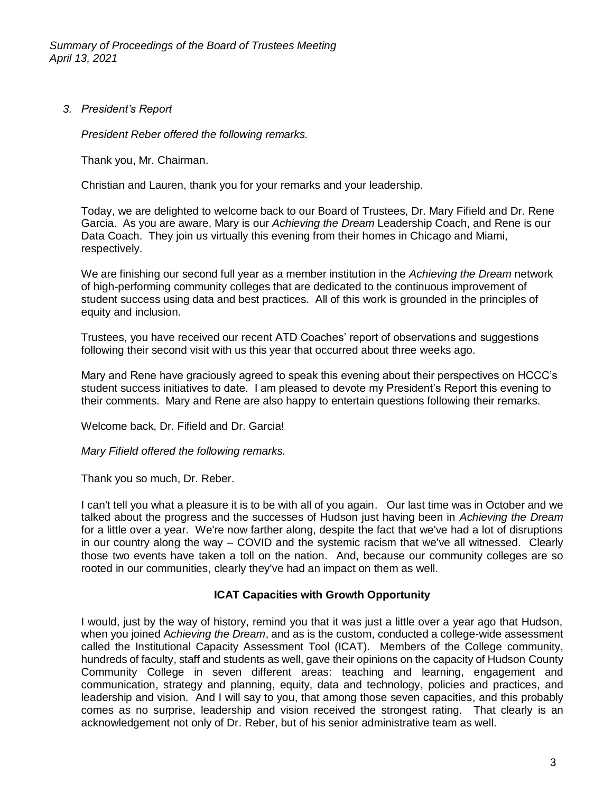*3. President's Report*

*President Reber offered the following remarks.*

Thank you, Mr. Chairman.

Christian and Lauren, thank you for your remarks and your leadership.

Today, we are delighted to welcome back to our Board of Trustees, Dr. Mary Fifield and Dr. Rene Garcia. As you are aware, Mary is our *Achieving the Dream* Leadership Coach, and Rene is our Data Coach. They join us virtually this evening from their homes in Chicago and Miami, respectively.

We are finishing our second full year as a member institution in the *Achieving the Dream* network of high-performing community colleges that are dedicated to the continuous improvement of student success using data and best practices. All of this work is grounded in the principles of equity and inclusion.

Trustees, you have received our recent ATD Coaches' report of observations and suggestions following their second visit with us this year that occurred about three weeks ago.

Mary and Rene have graciously agreed to speak this evening about their perspectives on HCCC's student success initiatives to date. I am pleased to devote my President's Report this evening to their comments. Mary and Rene are also happy to entertain questions following their remarks.

Welcome back, Dr. Fifield and Dr. Garcia!

*Mary Fifield offered the following remarks.*

Thank you so much, Dr. Reber.

I can't tell you what a pleasure it is to be with all of you again. Our last time was in October and we talked about the progress and the successes of Hudson just having been in *Achieving the Dream* for a little over a year. We're now farther along, despite the fact that we've had a lot of disruptions in our country along the way – COVID and the systemic racism that we've all witnessed. Clearly those two events have taken a toll on the nation. And, because our community colleges are so rooted in our communities, clearly they've had an impact on them as well.

# **ICAT Capacities with Growth Opportunity**

I would, just by the way of history, remind you that it was just a little over a year ago that Hudson, when you joined A*chieving the Dream*, and as is the custom, conducted a college-wide assessment called the Institutional Capacity Assessment Tool (ICAT). Members of the College community, hundreds of faculty, staff and students as well, gave their opinions on the capacity of Hudson County Community College in seven different areas: teaching and learning, engagement and communication, strategy and planning, equity, data and technology, policies and practices, and leadership and vision. And I will say to you, that among those seven capacities, and this probably comes as no surprise, leadership and vision received the strongest rating. That clearly is an acknowledgement not only of Dr. Reber, but of his senior administrative team as well.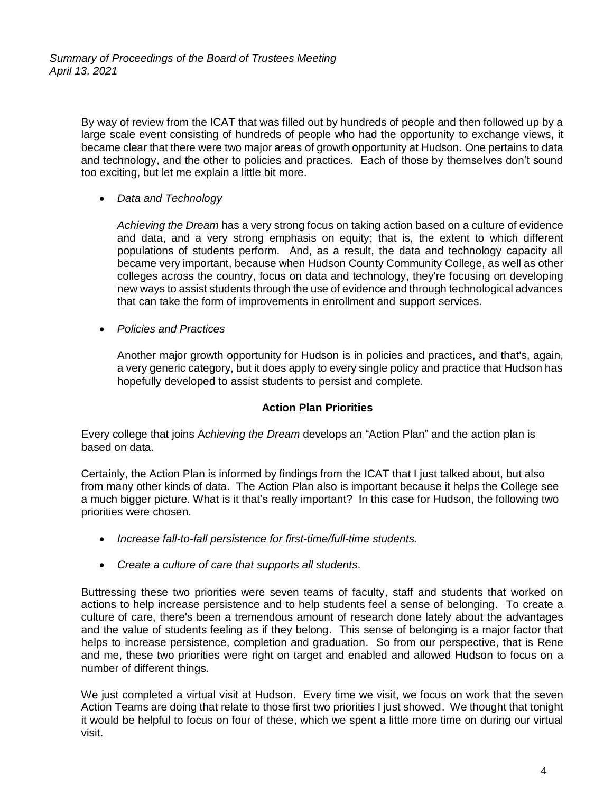By way of review from the ICAT that was filled out by hundreds of people and then followed up by a large scale event consisting of hundreds of people who had the opportunity to exchange views, it became clear that there were two major areas of growth opportunity at Hudson. One pertains to data and technology, and the other to policies and practices. Each of those by themselves don't sound too exciting, but let me explain a little bit more.

*Data and Technology* 

*Achieving the Dream* has a very strong focus on taking action based on a culture of evidence and data, and a very strong emphasis on equity; that is, the extent to which different populations of students perform. And, as a result, the data and technology capacity all became very important, because when Hudson County Community College, as well as other colleges across the country, focus on data and technology, they're focusing on developing new ways to assist students through the use of evidence and through technological advances that can take the form of improvements in enrollment and support services.

*Policies and Practices*

Another major growth opportunity for Hudson is in policies and practices, and that's, again, a very generic category, but it does apply to every single policy and practice that Hudson has hopefully developed to assist students to persist and complete.

# **Action Plan Priorities**

Every college that joins A*chieving the Dream* develops an "Action Plan" and the action plan is based on data.

Certainly, the Action Plan is informed by findings from the ICAT that I just talked about, but also from many other kinds of data. The Action Plan also is important because it helps the College see a much bigger picture. What is it that's really important? In this case for Hudson, the following two priorities were chosen.

- *Increase fall-to-fall persistence for first-time/full-time students.*
- *Create a culture of care that supports all students.*

Buttressing these two priorities were seven teams of faculty, staff and students that worked on actions to help increase persistence and to help students feel a sense of belonging. To create a culture of care, there's been a tremendous amount of research done lately about the advantages and the value of students feeling as if they belong. This sense of belonging is a major factor that helps to increase persistence, completion and graduation. So from our perspective, that is Rene and me, these two priorities were right on target and enabled and allowed Hudson to focus on a number of different things.

We just completed a virtual visit at Hudson. Every time we visit, we focus on work that the seven Action Teams are doing that relate to those first two priorities I just showed. We thought that tonight it would be helpful to focus on four of these, which we spent a little more time on during our virtual visit.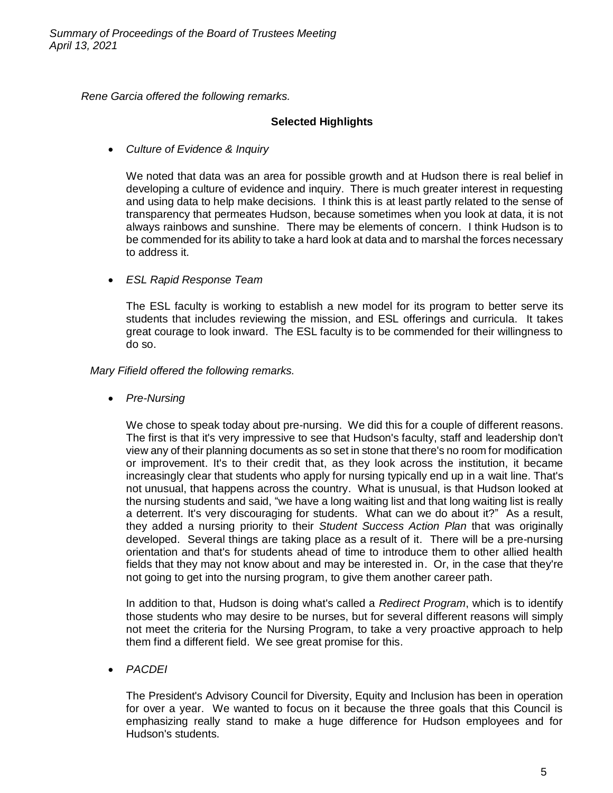*Rene Garcia offered the following remarks.*

# **Selected Highlights**

*Culture of Evidence & Inquiry*

We noted that data was an area for possible growth and at Hudson there is real belief in developing a culture of evidence and inquiry. There is much greater interest in requesting and using data to help make decisions. I think this is at least partly related to the sense of transparency that permeates Hudson, because sometimes when you look at data, it is not always rainbows and sunshine. There may be elements of concern. I think Hudson is to be commended for its ability to take a hard look at data and to marshal the forces necessary to address it.

*ESL Rapid Response Team*

The ESL faculty is working to establish a new model for its program to better serve its students that includes reviewing the mission, and ESL offerings and curricula. It takes great courage to look inward. The ESL faculty is to be commended for their willingness to do so.

*Mary Fifield offered the following remarks.*

*Pre-Nursing*

We chose to speak today about pre-nursing. We did this for a couple of different reasons. The first is that it's very impressive to see that Hudson's faculty, staff and leadership don't view any of their planning documents as so set in stone that there's no room for modification or improvement. It's to their credit that, as they look across the institution, it became increasingly clear that students who apply for nursing typically end up in a wait line. That's not unusual, that happens across the country. What is unusual, is that Hudson looked at the nursing students and said, "we have a long waiting list and that long waiting list is really a deterrent. It's very discouraging for students. What can we do about it?" As a result, they added a nursing priority to their *Student Success Action Plan* that was originally developed. Several things are taking place as a result of it. There will be a pre-nursing orientation and that's for students ahead of time to introduce them to other allied health fields that they may not know about and may be interested in. Or, in the case that they're not going to get into the nursing program, to give them another career path.

In addition to that, Hudson is doing what's called a *Redirect Program*, which is to identify those students who may desire to be nurses, but for several different reasons will simply not meet the criteria for the Nursing Program, to take a very proactive approach to help them find a different field. We see great promise for this.

*PACDEI*

The President's Advisory Council for Diversity, Equity and Inclusion has been in operation for over a year. We wanted to focus on it because the three goals that this Council is emphasizing really stand to make a huge difference for Hudson employees and for Hudson's students.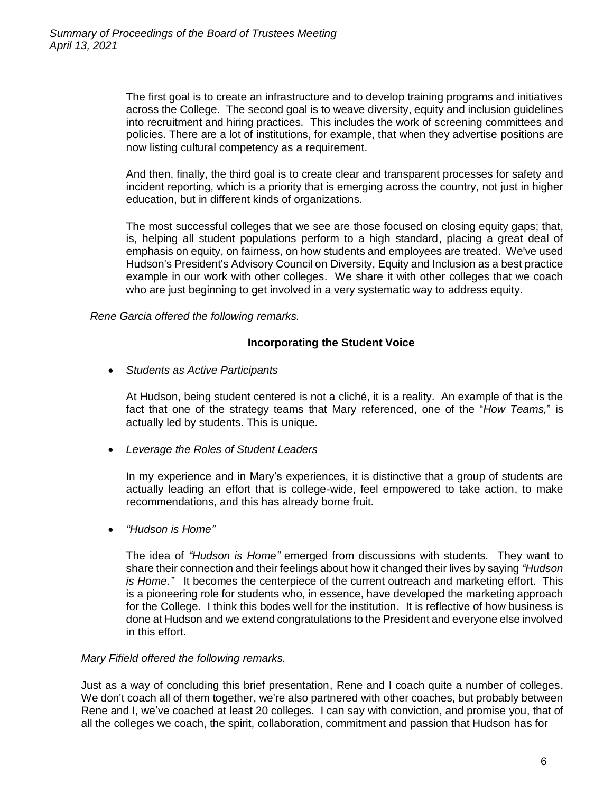The first goal is to create an infrastructure and to develop training programs and initiatives across the College. The second goal is to weave diversity, equity and inclusion guidelines into recruitment and hiring practices. This includes the work of screening committees and policies. There are a lot of institutions, for example, that when they advertise positions are now listing cultural competency as a requirement.

And then, finally, the third goal is to create clear and transparent processes for safety and incident reporting, which is a priority that is emerging across the country, not just in higher education, but in different kinds of organizations.

The most successful colleges that we see are those focused on closing equity gaps; that, is, helping all student populations perform to a high standard, placing a great deal of emphasis on equity, on fairness, on how students and employees are treated. We've used Hudson's President's Advisory Council on Diversity, Equity and Inclusion as a best practice example in our work with other colleges. We share it with other colleges that we coach who are just beginning to get involved in a very systematic way to address equity.

*Rene Garcia offered the following remarks.*

#### **Incorporating the Student Voice**

*Students as Active Participants*

At Hudson, being student centered is not a cliché, it is a reality. An example of that is the fact that one of the strategy teams that Mary referenced, one of the "*How Teams,*" is actually led by students. This is unique.

*Leverage the Roles of Student Leaders*

In my experience and in Mary's experiences, it is distinctive that a group of students are actually leading an effort that is college-wide, feel empowered to take action, to make recommendations, and this has already borne fruit.

*"Hudson is Home"*

The idea of *"Hudson is Home"* emerged from discussions with students. They want to share their connection and their feelings about how it changed their lives by saying *"Hudson is Home."* It becomes the centerpiece of the current outreach and marketing effort. This is a pioneering role for students who, in essence, have developed the marketing approach for the College. I think this bodes well for the institution. It is reflective of how business is done at Hudson and we extend congratulations to the President and everyone else involved in this effort.

#### *Mary Fifield offered the following remarks.*

Just as a way of concluding this brief presentation, Rene and I coach quite a number of colleges. We don't coach all of them together, we're also partnered with other coaches, but probably between Rene and I, we've coached at least 20 colleges. I can say with conviction, and promise you, that of all the colleges we coach, the spirit, collaboration, commitment and passion that Hudson has for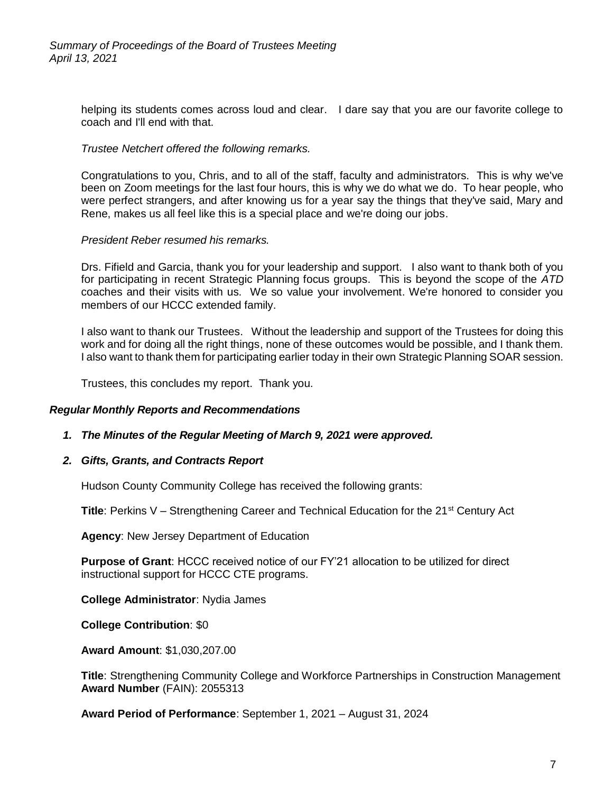helping its students comes across loud and clear. I dare say that you are our favorite college to coach and I'll end with that.

#### *Trustee Netchert offered the following remarks.*

Congratulations to you, Chris, and to all of the staff, faculty and administrators. This is why we've been on Zoom meetings for the last four hours, this is why we do what we do. To hear people, who were perfect strangers, and after knowing us for a year say the things that they've said, Mary and Rene, makes us all feel like this is a special place and we're doing our jobs.

#### *President Reber resumed his remarks.*

Drs. Fifield and Garcia, thank you for your leadership and support. I also want to thank both of you for participating in recent Strategic Planning focus groups. This is beyond the scope of the *ATD* coaches and their visits with us. We so value your involvement. We're honored to consider you members of our HCCC extended family.

I also want to thank our Trustees. Without the leadership and support of the Trustees for doing this work and for doing all the right things, none of these outcomes would be possible, and I thank them. I also want to thank them for participating earlier today in their own Strategic Planning SOAR session.

Trustees, this concludes my report. Thank you.

#### *Regular Monthly Reports and Recommendations*

#### *1. The Minutes of the Regular Meeting of March 9, 2021 were approved.*

#### *2. Gifts, Grants, and Contracts Report*

Hudson County Community College has received the following grants:

**Title**: Perkins V – Strengthening Career and Technical Education for the 21<sup>st</sup> Century Act

**Agency**: New Jersey Department of Education

**Purpose of Grant**: HCCC received notice of our FY'21 allocation to be utilized for direct instructional support for HCCC CTE programs.

**College Administrator**: Nydia James

**College Contribution**: \$0

**Award Amount**: \$1,030,207.00

**Title**: Strengthening Community College and Workforce Partnerships in Construction Management **Award Number** (FAIN): 2055313

**Award Period of Performance**: September 1, 2021 – August 31, 2024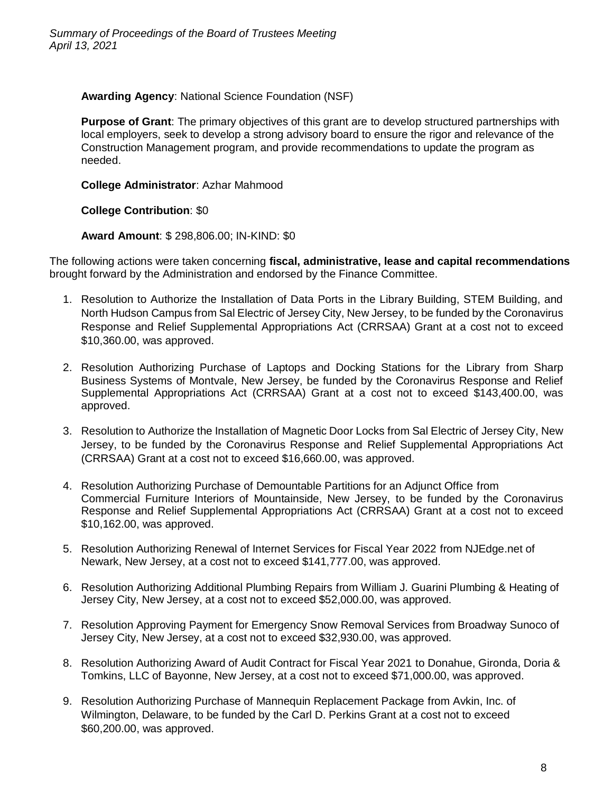**Awarding Agency**: National Science Foundation (NSF)

**Purpose of Grant**: The primary objectives of this grant are to develop structured partnerships with local employers, seek to develop a strong advisory board to ensure the rigor and relevance of the Construction Management program, and provide recommendations to update the program as needed.

**College Administrator**: Azhar Mahmood

**College Contribution**: \$0

**Award Amount**: \$ 298,806.00; IN-KIND: \$0

The following actions were taken concerning **fiscal, administrative, lease and capital recommendations** brought forward by the Administration and endorsed by the Finance Committee.

- 1. Resolution to Authorize the Installation of Data Ports in the Library Building, STEM Building, and North Hudson Campus from Sal Electric of Jersey City, New Jersey, to be funded by the Coronavirus Response and Relief Supplemental Appropriations Act (CRRSAA) Grant at a cost not to exceed \$10,360.00, was approved.
- 2. Resolution Authorizing Purchase of Laptops and Docking Stations for the Library from Sharp Business Systems of Montvale, New Jersey, be funded by the Coronavirus Response and Relief Supplemental Appropriations Act (CRRSAA) Grant at a cost not to exceed \$143,400.00, was approved.
- 3. Resolution to Authorize the Installation of Magnetic Door Locks from Sal Electric of Jersey City, New Jersey, to be funded by the Coronavirus Response and Relief Supplemental Appropriations Act (CRRSAA) Grant at a cost not to exceed \$16,660.00, was approved.
- 4. Resolution Authorizing Purchase of Demountable Partitions for an Adjunct Office from Commercial Furniture Interiors of Mountainside, New Jersey, to be funded by the Coronavirus Response and Relief Supplemental Appropriations Act (CRRSAA) Grant at a cost not to exceed \$10,162.00, was approved.
- 5. Resolution Authorizing Renewal of Internet Services for Fiscal Year 2022 from NJEdge.net of Newark, New Jersey, at a cost not to exceed \$141,777.00, was approved.
- 6. Resolution Authorizing Additional Plumbing Repairs from William J. Guarini Plumbing & Heating of Jersey City, New Jersey, at a cost not to exceed \$52,000.00, was approved.
- 7. Resolution Approving Payment for Emergency Snow Removal Services from Broadway Sunoco of Jersey City, New Jersey, at a cost not to exceed \$32,930.00, was approved.
- 8. Resolution Authorizing Award of Audit Contract for Fiscal Year 2021 to Donahue, Gironda, Doria & Tomkins, LLC of Bayonne, New Jersey, at a cost not to exceed \$71,000.00, was approved.
- 9. Resolution Authorizing Purchase of Mannequin Replacement Package from Avkin, Inc. of Wilmington, Delaware, to be funded by the Carl D. Perkins Grant at a cost not to exceed \$60,200.00, was approved.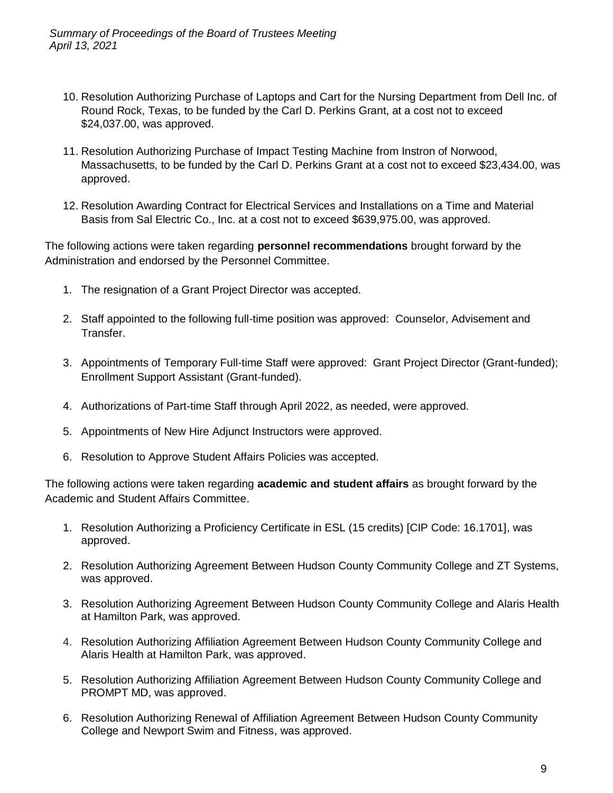- 10. Resolution Authorizing Purchase of Laptops and Cart for the Nursing Department from Dell Inc. of Round Rock, Texas, to be funded by the Carl D. Perkins Grant, at a cost not to exceed \$24,037.00, was approved.
- 11. Resolution Authorizing Purchase of Impact Testing Machine from Instron of Norwood, Massachusetts, to be funded by the Carl D. Perkins Grant at a cost not to exceed \$23,434.00, was approved.
- 12. Resolution Awarding Contract for Electrical Services and Installations on a Time and Material Basis from Sal Electric Co., Inc. at a cost not to exceed \$639,975.00, was approved.

The following actions were taken regarding **personnel recommendations** brought forward by the Administration and endorsed by the Personnel Committee.

- 1. The resignation of a Grant Project Director was accepted.
- 2. Staff appointed to the following full-time position was approved: Counselor, Advisement and Transfer.
- 3. Appointments of Temporary Full-time Staff were approved: Grant Project Director (Grant-funded); Enrollment Support Assistant (Grant-funded).
- 4. Authorizations of Part-time Staff through April 2022, as needed, were approved.
- 5. Appointments of New Hire Adjunct Instructors were approved.
- 6. Resolution to Approve Student Affairs Policies was accepted.

The following actions were taken regarding **academic and student affairs** as brought forward by the Academic and Student Affairs Committee.

- 1. Resolution Authorizing a Proficiency Certificate in ESL (15 credits) [CIP Code: 16.1701], was approved.
- 2. Resolution Authorizing Agreement Between Hudson County Community College and ZT Systems, was approved.
- 3. Resolution Authorizing Agreement Between Hudson County Community College and Alaris Health at Hamilton Park, was approved.
- 4. Resolution Authorizing Affiliation Agreement Between Hudson County Community College and Alaris Health at Hamilton Park, was approved.
- 5. Resolution Authorizing Affiliation Agreement Between Hudson County Community College and PROMPT MD, was approved.
- 6. Resolution Authorizing Renewal of Affiliation Agreement Between Hudson County Community College and Newport Swim and Fitness, was approved.